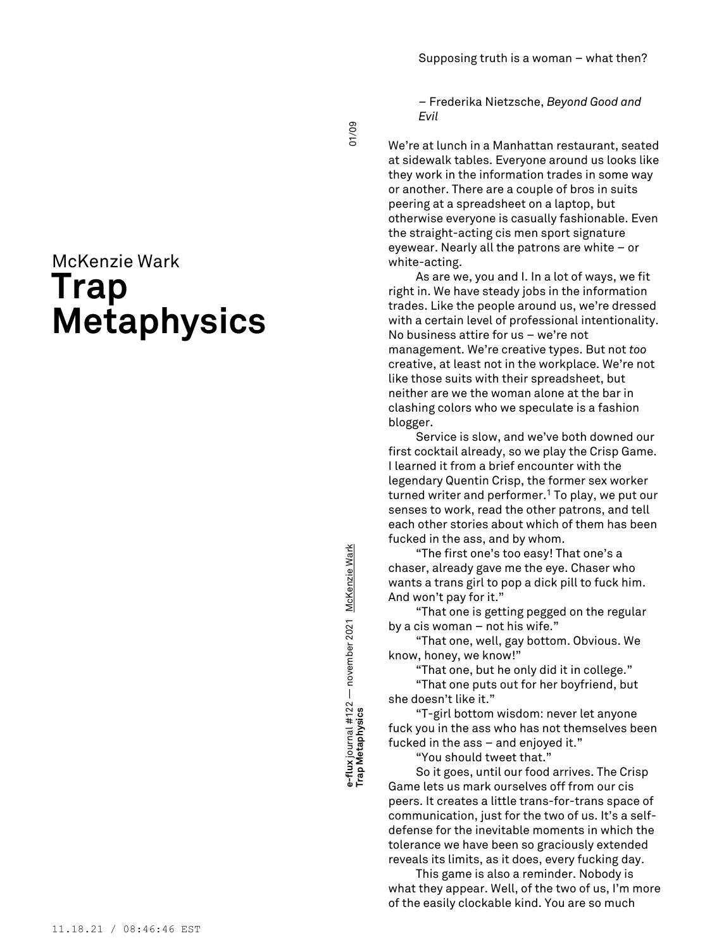– Frederika Nietzsche, *Beyond Good and Evil*

# McKenzie Wark **Trap Metaphysics**

e-Tux Journal # + zz — november zoz + november zoz + <u>mchenzie wark</u><br>Trap Metaphysics e-flux journal #122 — november 2021 <u>McKenzie Wark</u><br>Tra**p Metaphysics e-flux** journal #122 — november 2021 McKenzie Wark

01/09

We're at lunch in a Manhattan restaurant, seated at sidewalk tables. Everyone around us looks like they work in the information trades in some way or another. There are a couple of bros in suits peering at a spreadsheet on a laptop, but otherwise everyone is casually fashionable. Even the straight-acting cis men sport signature eyewear. Nearly all the patrons are white – or white-acting.

As are we, you and I. In a lot of ways, we fit right in. We have steady jobs in the information trades. Like the people around us, we're dressed with a certain level of professional intentionality. No business attire for us – we're not management. We're creative types. But not *too* creative, at least not in the workplace. We're not like those suits with their spreadsheet, but neither are we the woman alone at the bar in clashing colors who we speculate is a fashion blogger.

Service is slow, and we've both downed our first cocktail already, so we play the Crisp Game. I learned it from a brief encounter with the legendary Quentin Crisp, the former sex worker turned writer and performer. <sup>1</sup> To play, we put our senses to work, read the other patrons, and tell each other stories about which of them has been fucked in the ass, and by whom.

"The first one's too easy! That one's a chaser, already gave me the eye. Chaser who wants a trans girl to pop a dick pill to fuck him. And won't pay for it."

"That one is getting pegged on the regular by a cis woman – not his wife."

"That one, well, gay bottom. Obvious. We know, honey, we know!"

"That one, but he only did it in college."

"That one puts out for her boyfriend, but she doesn't like it."

"T-girl bottom wisdom: never let anyone fuck you in the ass who has not themselves been fucked in the ass – and enjoyed it."

"You should tweet that."

So it goes, until our food arrives. The Crisp Game lets us mark ourselves off from our cis peers. It creates a little trans-for-trans space of communication, just for the two of us. It's a selfdefense for the inevitable moments in which the tolerance we have been so graciously extended reveals its limits, as it does, every fucking day.

This game is also a reminder. Nobody is what they appear. Well, of the two of us, I'm more of the easily clockable kind. You are so much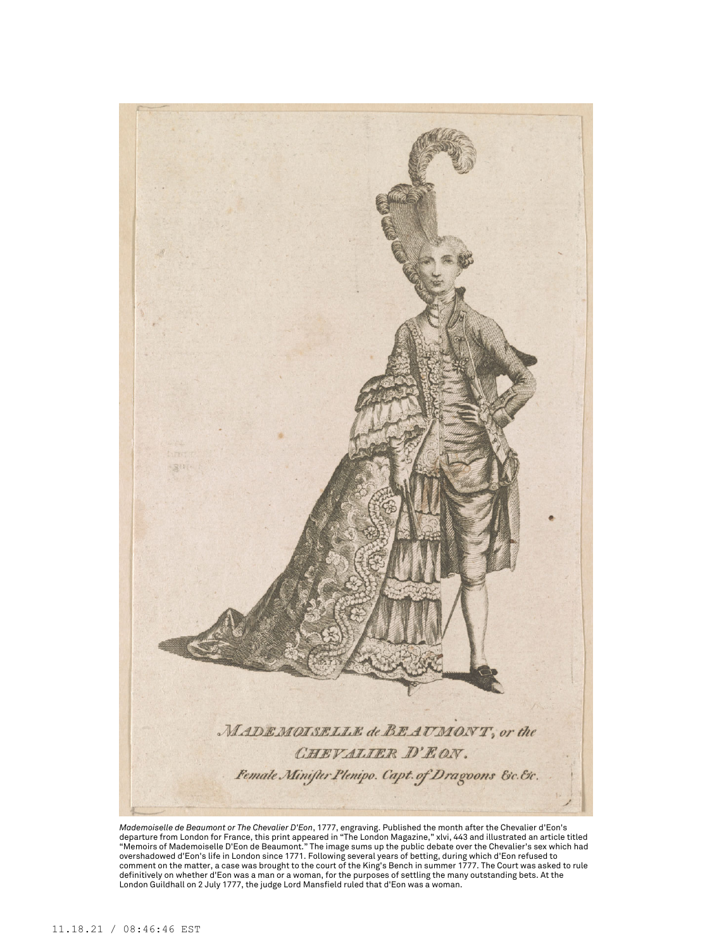

Mademoiselle de Beaumont or The Chevalier D'Eon, 1777, engraving. Published the month after the Chevalier d'Eon's<br>departure from London for France, this print appeared in "The London Magazine," xlvi, 443 and illustrated an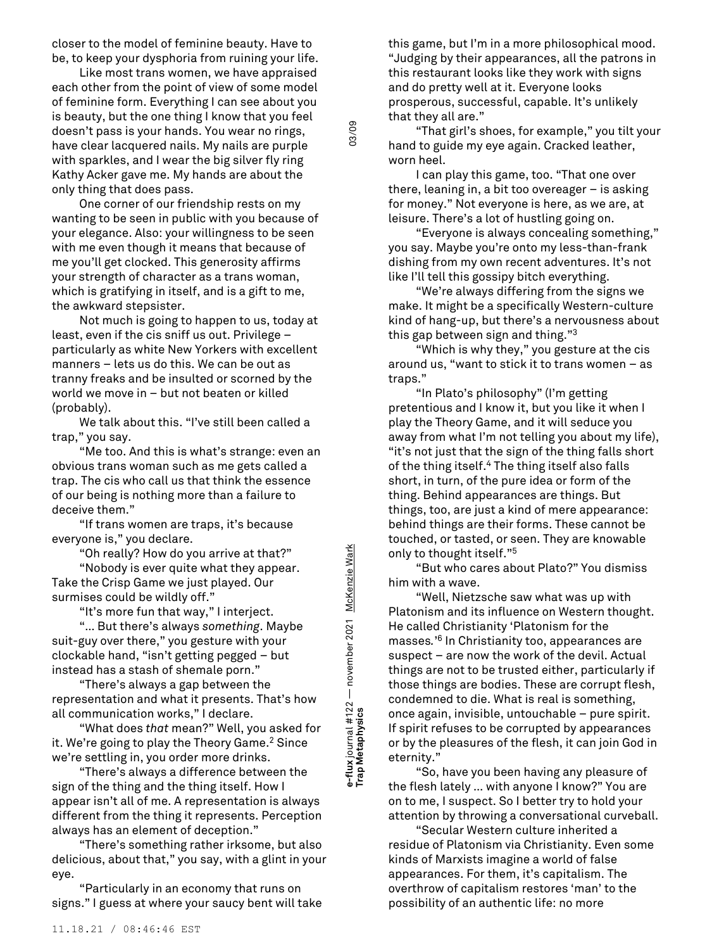closer to the model of feminine beauty. Have to be, to keep your dysphoria from ruining your life.

Like most trans women, we have appraised each other from the point of view of some model of feminine form. Everything I can see about you is beauty, but the one thing I know that you feel doesn't pass is your hands. You wear no rings, have clear lacquered nails. My nails are purple with sparkles, and I wear the big silver fly ring Kathy Acker gave me. My hands are about the only thing that does pass.

One corner of our friendship rests on my wanting to be seen in public with you because of your elegance. Also: your willingness to be seen with me even though it means that because of me you'll get clocked. This generosity affirms your strength of character as a trans woman, which is gratifying in itself, and is a gift to me, the awkward stepsister.

Not much is going to happen to us, today at least, even if the cis sniff us out. Privilege – particularly as white New Yorkers with excellent manners – lets us do this. We can be out as tranny freaks and be insulted or scorned by the world we move in – but not beaten or killed (probably).

We talk about this. "I've still been called a trap," you say.

"Me too. And this is what's strange: even an obvious trans woman such as me gets called a trap. The cis who call us that think the essence of our being is nothing more than a failure to deceive them."

"If trans women are traps, it's because everyone is," you declare.

"Oh really? How do you arrive at that?" "Nobody is ever quite what they appear. Take the Crisp Game we just played. Our

surmises could be wildly off." "It's more fun that way," I interject.

"… But there's always *something*. Maybe suit-guy over there," you gesture with your clockable hand, "isn't getting pegged – but instead has a stash of shemale porn."

"There's always a gap between the representation and what it presents. That's how all communication works," I declare.

"What does *that* mean?" Well, you asked for it. We're going to play the Theory Game. <sup>2</sup> Since we're settling in, you order more drinks.

"There's always a difference between the sign of the thing and the thing itself. How I appear isn't all of me. A representation is always different from the thing it represents. Perception always has an element of deception."

"There's something rather irksome, but also delicious, about that," you say, with a glint in your eye.

"Particularly in an economy that runs on signs." I guess at where your saucy bent will take

this game, but I'm in a more philosophical mood. "Judging by their appearances, all the patrons in this restaurant looks like they work with signs and do pretty well at it. Everyone looks prosperous, successful, capable. It's unlikely that they all are."

"That girl's shoes, for example," you tilt your hand to guide my eye again. Cracked leather, worn heel.

I can play this game, too. "That one over there, leaning in, a bit too overeager – is asking for money." Not everyone is here, as we are, at leisure. There's a lot of hustling going on.

"Everyone is always concealing something," you say. Maybe you're onto my less-than-frank dishing from my own recent adventures. It's not like I'll tell this gossipy bitch everything.

"We're always differing from the signs we make. It might be a specifically Western-culture kind of hang-up, but there's a nervousness about this gap between sign and thing." 3

"Which is why they," you gesture at the cis around us, "want to stick it to trans women – as traps."

"In Plato's philosophy" (I'm getting pretentious and I know it, but you like it when I play the Theory Game, and it will seduce you away from what I'm not telling you about my life), "it's not just that the sign of the thing falls short of the thing itself. <sup>4</sup> The thing itself also falls short, in turn, of the pure idea or form of the thing. Behind appearances are things. But things, too, are just a kind of mere appearance: behind things are their forms. These cannot be touched, or tasted, or seen. They are knowable only to thought itself." 5

"But who cares about Plato?" You dismiss him with a wave.

"Well, Nietzsche saw what was up with Platonism and its influence on Western thought. He called Christianity 'Platonism for the masses*.*' <sup>6</sup> In Christianity too, appearances are suspect – are now the work of the devil. Actual things are not to be trusted either, particularly if those things are bodies. These are corrupt flesh, condemned to die. What is real is something, once again, invisible, untouchable – pure spirit. If spirit refuses to be corrupted by appearances or by the pleasures of the flesh, it can join God in eternity."

"So, have you been having any pleasure of the flesh lately … with anyone I know?" You are on to me, I suspect. So I better try to hold your attention by throwing a conversational curveball.

"Secular Western culture inherited a residue of Platonism via Christianity. Even some kinds of Marxists imagine a world of false appearances. For them, it's capitalism. The overthrow of capitalism restores 'man' to the possibility of an authentic life: no more

e-Tux Journal # + zz — hovernoer zoz + movernoer zoz + <u>movernoe wark</u><br>Trap Metaphysics e-flux journal #122 — november 2021 <u>McKenzie Wark</u><br>Tra**p Metaphysics e-flux** journal #122 — november 2021 McKenzie Wark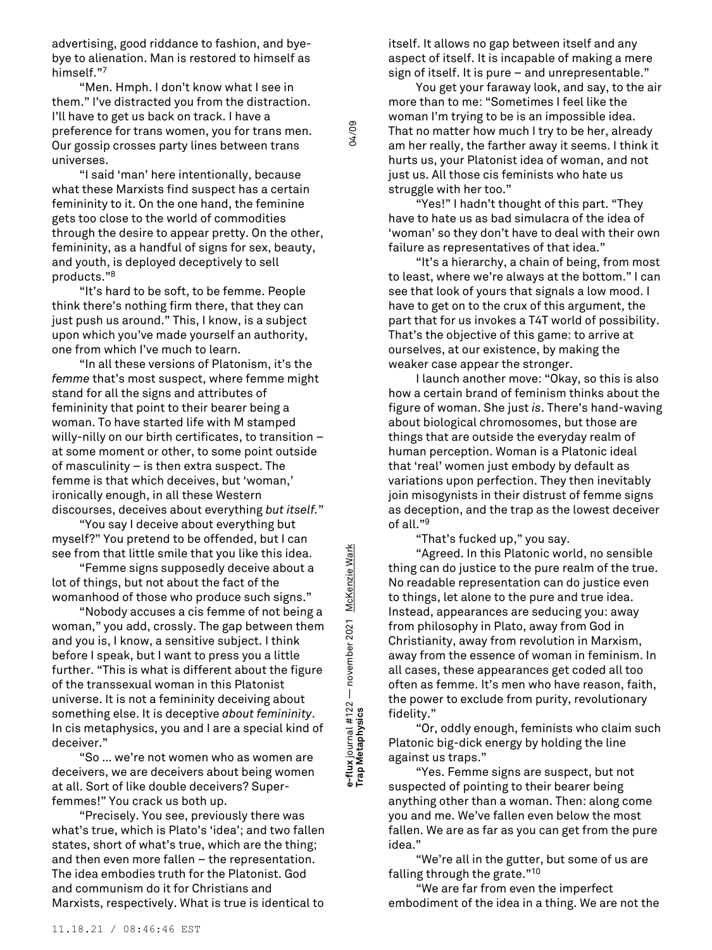advertising, good riddance to fashion, and byebye to alienation. Man is restored to himself as himself." 7

"Men. Hmph. I don't know what I see in them." I've distracted you from the distraction. I'll have to get us back on track. I have a preference for trans women, you for trans men. Our gossip crosses party lines between trans universes.

"I said 'man' here intentionally, because what these Marxists find suspect has a certain femininity to it. On the one hand, the feminine gets too close to the world of commodities through the desire to appear pretty. On the other, femininity, as a handful of signs for sex, beauty, and youth, is deployed deceptively to sell products." 8

"It's hard to be soft, to be femme. People think there's nothing firm there, that they can just push us around." This, I know, is a subject upon which you've made yourself an authority, one from which I've much to learn.

"In all these versions of Platonism, it's the *femme* that's most suspect, where femme might stand for all the signs and attributes of femininity that point to their bearer being a woman. To have started life with M stamped willy-nilly on our birth certificates, to transition – at some moment or other, to some point outside of masculinity – is then extra suspect. The femme is that which deceives, but 'woman,' ironically enough, in all these Western discourses, deceives about everything *but itself.*"

"You say I deceive about everything but myself?" You pretend to be offended, but I can see from that little smile that you like this idea.

"Femme signs supposedly deceive about a lot of things, but not about the fact of the womanhood of those who produce such signs."

"Nobody accuses a cis femme of not being a woman," you add, crossly. The gap between them and you is, I know, a sensitive subject. I think before I speak, but I want to press you a little further. "This is what is different about the figure of the transsexual woman in this Platonist universe. It is not a femininity deceiving about something else. It is deceptive *about femininity*. In cis metaphysics, you and I are a special kind of deceiver."

"So … we're not women who as women are deceivers, we are deceivers about being women at all. Sort of like double deceivers? Superfemmes!" You crack us both up.

"Precisely. You see, previously there was what's true, which is Plato's 'idea'; and two fallen states, short of what's true, which are the thing; and then even more fallen – the representation. The idea embodies truth for the Platonist. God and communism do it for Christians and Marxists, respectively. What is true is identical to

itself. It allows no gap between itself and any aspect of itself. It is incapable of making a mere sign of itself. It is pure – and unrepresentable."

You get your faraway look, and say, to the air more than to me: "Sometimes I feel like the woman I'm trying to be is an impossible idea. That no matter how much I try to be her, already am her really, the farther away it seems. I think it hurts us, your Platonist idea of woman, and not just us. All those cis feminists who hate us struggle with her too."

"Yes!" I hadn't thought of this part. "They have to hate us as bad simulacra of the idea of 'woman' so they don't have to deal with their own failure as representatives of that idea."

"It's a hierarchy, a chain of being, from most to least, where we're always at the bottom." I can see that look of yours that signals a low mood. I have to get on to the crux of this argument, the part that for us invokes a T4T world of possibility. That's the objective of this game: to arrive at ourselves, at our existence, by making the weaker case appear the stronger.

I launch another move: "Okay, so this is also how a certain brand of feminism thinks about the figure of woman. She just *is*. There's hand-waving about biological chromosomes, but those are things that are outside the everyday realm of human perception. Woman is a Platonic ideal that 'real' women just embody by default as variations upon perfection. They then inevitably join misogynists in their distrust of femme signs as deception, and the trap as the lowest deceiver of all." 9

"That's fucked up," you say.

"Agreed. In this Platonic world, no sensible thing can do justice to the pure realm of the true. No readable representation can do justice even to things, let alone to the pure and true idea. Instead, appearances are seducing you: away from philosophy in Plato, away from God in Christianity, away from revolution in Marxism, away from the essence of woman in feminism. In all cases, these appearances get coded all too often as femme. It's men who have reason, faith, the power to exclude from purity, revolutionary fidelity."

"Or, oddly enough, feminists who claim such Platonic big-dick energy by holding the line against us traps."

"Yes. Femme signs are suspect, but not suspected of pointing to their bearer being anything other than a woman. Then: along come you and me. We've fallen even below the most fallen. We are as far as you can get from the pure idea."

"We're all in the gutter, but some of us are falling through the grate." 10

"We are far from even the imperfect embodiment of the idea in a thing. We are not the

**Trap Metaphysics** 04/09 e-flux journal #122 — november 2021 <u>McKenzie Wark</u><br>Tra**p Metaphysics e-flux** journal #122 — november 2021 McKenzie Wark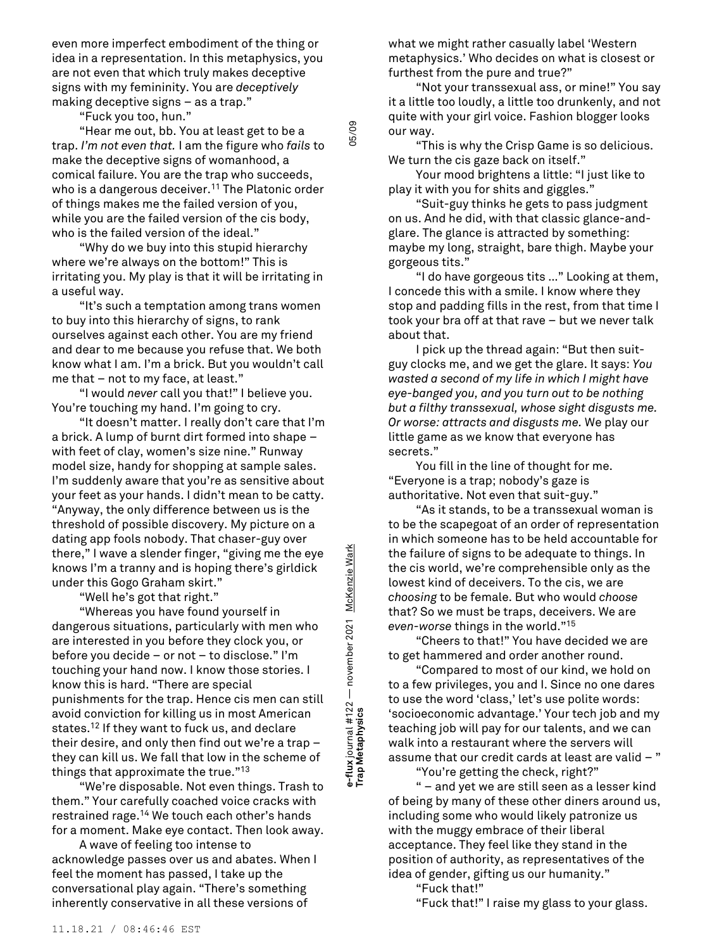even more imperfect embodiment of the thing or idea in a representation. In this metaphysics, you are not even that which truly makes deceptive signs with my femininity. You are *deceptively* making deceptive signs – as a trap."

"Fuck you too, hun."

"Hear me out, bb. You at least get to be a trap. *I'm not even that.* I am the figure who *fails* to make the deceptive signs of womanhood, a comical failure. You are the trap who succeeds, who is a dangerous deceiver. <sup>11</sup> The Platonic order of things makes me the failed version of you, while you are the failed version of the cis body, who is the failed version of the ideal."

"Why do we buy into this stupid hierarchy where we're always on the bottom!" This is irritating you. My play is that it will be irritating in a useful way.

"It's such a temptation among trans women to buy into this hierarchy of signs, to rank ourselves against each other. You are my friend and dear to me because you refuse that. We both know what I am. I'm a brick. But you wouldn't call me that – not to my face, at least."

"I would *never* call you that!" I believe you. You're touching my hand. I'm going to cry.

"It doesn't matter. I really don't care that I'm a brick. A lump of burnt dirt formed into shape – with feet of clay, women's size nine." Runway model size, handy for shopping at sample sales. I'm suddenly aware that you're as sensitive about your feet as your hands. I didn't mean to be catty. "Anyway, the only difference between us is the threshold of possible discovery. My picture on a dating app fools nobody. That chaser-guy over there," I wave a slender finger, "giving me the eye knows I'm a tranny and is hoping there's girldick under this Gogo Graham skirt."

"Well he's got that right."

"Whereas you have found yourself in dangerous situations, particularly with men who are interested in you before they clock you, or before you decide – or not – to disclose." I'm touching your hand now. I know those stories. I know this is hard. "There are special punishments for the trap. Hence cis men can still avoid conviction for killing us in most American states. <sup>12</sup> If they want to fuck us, and declare their desire, and only then find out we're a trap – they can kill us. We fall that low in the scheme of things that approximate the true." 13

"We're disposable. Not even things. Trash to them." Your carefully coached voice cracks with restrained rage. <sup>14</sup> We touch each other's hands for a moment. Make eye contact. Then look away.

A wave of feeling too intense to acknowledge passes over us and abates. When I feel the moment has passed, I take up the conversational play again. "There's something inherently conservative in all these versions of

what we might rather casually label 'Western metaphysics.' Who decides on what is closest or furthest from the pure and true?"

"Not your transsexual ass, or mine!" You say it a little too loudly, a little too drunkenly, and not quite with your girl voice. Fashion blogger looks our way.

"This is why the Crisp Game is so delicious. We turn the cis gaze back on itself."

Your mood brightens a little: "I just like to play it with you for shits and giggles."

"Suit-guy thinks he gets to pass judgment on us. And he did, with that classic glance-andglare. The glance is attracted by something: maybe my long, straight, bare thigh. Maybe your gorgeous tits."

"I do have gorgeous tits …" Looking at them, I concede this with a smile. I know where they stop and padding fills in the rest, from that time I took your bra off at that rave – but we never talk about that.

I pick up the thread again: "But then suitguy clocks me, and we get the glare. It says: *You wasted a second of my life in which I might have eye-banged you, and you turn out to be nothing but a filthy transsexual, whose sight disgusts me. Or worse: attracts and disgusts me.* We play our little game as we know that everyone has secrets."

You fill in the line of thought for me. "Everyone is a trap; nobody's gaze is authoritative. Not even that suit-guy."

"As it stands, to be a transsexual woman is to be the scapegoat of an order of representation in which someone has to be held accountable for the failure of signs to be adequate to things. In the cis world, we're comprehensible only as the lowest kind of deceivers. To the cis, we are *choosing* to be female. But who would *choose* that? So we must be traps, deceivers. We are *even-worse* things in the world." 15

"Cheers to that!" You have decided we are to get hammered and order another round.

"Compared to most of our kind, we hold on to a few privileges, you and I. Since no one dares to use the word 'class,' let's use polite words: 'socioeconomic advantage.' Your tech job and my teaching job will pay for our talents, and we can walk into a restaurant where the servers will assume that our credit cards at least are valid  $-$  "

"You're getting the check, right?"

" – and yet we are still seen as a lesser kind of being by many of these other diners around us, including some who would likely patronize us with the muggy embrace of their liberal acceptance. They feel like they stand in the position of authority, as representatives of the idea of gender, gifting us our humanity."

"Fuck that!"

**e-flux** journal #122 — november 2021 McKenzie Wark

e-flux journal #122 — november 2021 <u>McKenzie Wark</u><br>Tra**p Metaphysics** 

e-Tux Journat # + zz — november zoz + movember zoz + <u>movemzie wark</u><br>Trap Metaphysics

05/09

"Fuck that!" I raise my glass to your glass.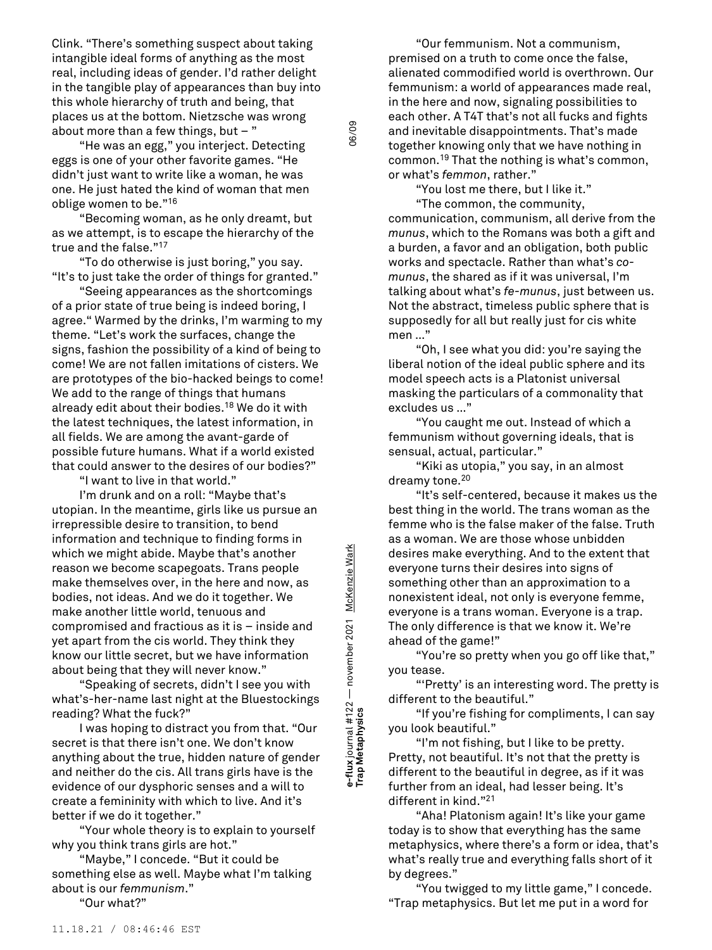Clink. "There's something suspect about taking intangible ideal forms of anything as the most real, including ideas of gender. I'd rather delight in the tangible play of appearances than buy into this whole hierarchy of truth and being, that places us at the bottom. Nietzsche was wrong about more than a few things, but  $-$  "

"He was an egg," you interject. Detecting eggs is one of your other favorite games. "He didn't just want to write like a woman, he was one. He just hated the kind of woman that men oblige women to be." 16

"Becoming woman, as he only dreamt, but as we attempt, is to escape the hierarchy of the true and the false." 17

"To do otherwise is just boring," you say. "It's to just take the order of things for granted."

"Seeing appearances as the shortcomings of a prior state of true being is indeed boring, I agree." Warmed by the drinks, I'm warming to my theme. "Let's work the surfaces, change the signs, fashion the possibility of a kind of being to come! We are not fallen imitations of cisters. We are prototypes of the bio-hacked beings to come! We add to the range of things that humans already edit about their bodies. <sup>18</sup> We do it with the latest techniques, the latest information, in all fields. We are among the avant-garde of possible future humans. What if a world existed that could answer to the desires of our bodies?"

"I want to live in that world."

I'm drunk and on a roll: "Maybe that's utopian. In the meantime, girls like us pursue an irrepressible desire to transition, to bend information and technique to finding forms in which we might abide. Maybe that's another reason we become scapegoats. Trans people make themselves over, in the here and now, as bodies, not ideas. And we do it together. We make another little world, tenuous and compromised and fractious as it is – inside and yet apart from the cis world. They think they know our little secret, but we have information about being that they will never know."

"Speaking of secrets, didn't I see you with what's-her-name last night at the Bluestockings reading? What the fuck?"

I was hoping to distract you from that. "Our secret is that there isn't one. We don't know anything about the true, hidden nature of gender and neither do the cis. All trans girls have is the evidence of our dysphoric senses and a will to create a femininity with which to live. And it's better if we do it together."

"Your whole theory is to explain to yourself why you think trans girls are hot."

"Maybe," I concede. "But it could be something else as well. Maybe what I'm talking about is our *femmunism*."

"Our what?"

e-Tux Journat # + zz — november zoz + november zoz + <u>mcKenzie wark</u><br>Trap Metaphysics e-flux journal #122 — november 2021 <u>McKenzie Wark</u><br>Tra**p Metaphysics e-flux** journal #122 — november 2021 McKenzie Wark

06/09

"Our femmunism. Not a communism, premised on a truth to come once the false, alienated commodified world is overthrown. Our femmunism: a world of appearances made real, in the here and now, signaling possibilities to each other. A T4T that's not all fucks and fights and inevitable disappointments. That's made together knowing only that we have nothing in common. <sup>19</sup> That the nothing is what's common, or what's *femmon*, rather."

"You lost me there, but I like it."

"The common, the community, communication, communism, all derive from the *munus*, which to the Romans was both a gift and a burden, a favor and an obligation, both public works and spectacle. Rather than what's *comunus*, the shared as if it was universal, I'm talking about what's *fe-munus*, just between us. Not the abstract, timeless public sphere that is supposedly for all but really just for cis white men …"

"Oh, I see what you did: you're saying the liberal notion of the ideal public sphere and its model speech acts is a Platonist universal masking the particulars of a commonality that excludes us …"

"You caught me out. Instead of which a femmunism without governing ideals, that is sensual, actual, particular."

"Kiki as utopia," you say, in an almost dreamy tone. 20

"It's self-centered, because it makes us the best thing in the world. The trans woman as the femme who is the false maker of the false. Truth as a woman. We are those whose unbidden desires make everything. And to the extent that everyone turns their desires into signs of something other than an approximation to a nonexistent ideal, not only is everyone femme, everyone is a trans woman. Everyone is a trap. The only difference is that we know it. We're ahead of the game!"

"You're so pretty when you go off like that," you tease.

"'Pretty' is an interesting word. The pretty is different to the beautiful."

"If you're fishing for compliments, I can say you look beautiful."

"I'm not fishing, but I like to be pretty. Pretty, not beautiful. It's not that the pretty is different to the beautiful in degree, as if it was further from an ideal, had lesser being. It's different in kind." 21

"Aha! Platonism again! It's like your game today is to show that everything has the same metaphysics, where there's a form or idea, that's what's really true and everything falls short of it by degrees."

"You twigged to my little game," I concede. "Trap metaphysics. But let me put in a word for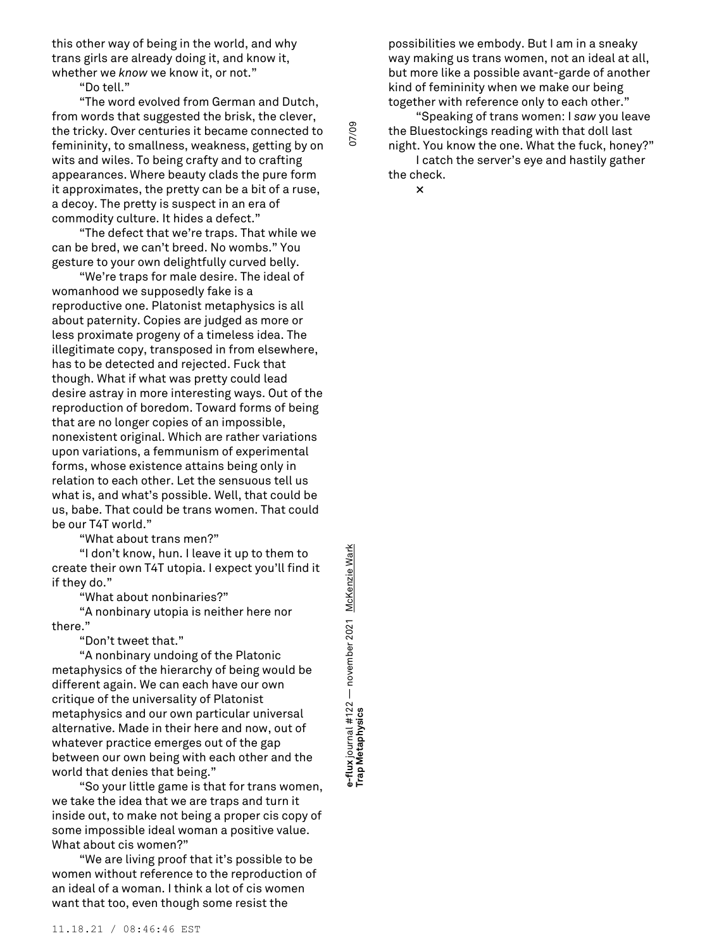this other way of being in the world, and why trans girls are already doing it, and know it, whether we *know* we know it, or not."

"Do tell."

"The word evolved from German and Dutch, from words that suggested the brisk, the clever, the tricky. Over centuries it became connected to femininity, to smallness, weakness, getting by on wits and wiles. To being crafty and to crafting appearances. Where beauty clads the pure form it approximates, the pretty can be a bit of a ruse, a decoy. The pretty is suspect in an era of commodity culture. It hides a defect."

"The defect that we're traps. That while we can be bred, we can't breed. No wombs." You gesture to your own delightfully curved belly.

"We're traps for male desire. The ideal of womanhood we supposedly fake is a reproductive one. Platonist metaphysics is all about paternity. Copies are judged as more or less proximate progeny of a timeless idea. The illegitimate copy, transposed in from elsewhere, has to be detected and rejected. Fuck that though. What if what was pretty could lead desire astray in more interesting ways. Out of the reproduction of boredom. Toward forms of being that are no longer copies of an impossible, nonexistent original. Which are rather variations upon variations, a femmunism of experimental forms, whose existence attains being only in relation to each other. Let the sensuous tell us what is, and what's possible. Well, that could be us, babe. That could be trans women. That could be our T4T world."

"What about trans men?"

"I don't know, hun. I leave it up to them to create their own T4T utopia. I expect you'll find it if they do."

"What about nonbinaries?"

"A nonbinary utopia is neither here nor there."

"Don't tweet that."

"A nonbinary undoing of the Platonic metaphysics of the hierarchy of being would be different again. We can each have our own critique of the universality of Platonist metaphysics and our own particular universal alternative. Made in their here and now, out of whatever practice emerges out of the gap between our own being with each other and the world that denies that being."

"So your little game is that for trans women, we take the idea that we are traps and turn it inside out, to make not being a proper cis copy of some impossible ideal woman a positive value. What about cis women?"

"We are living proof that it's possible to be women without reference to the reproduction of an ideal of a woman. I think a lot of cis women want that too, even though some resist the

e-Tux Journal # + zz — november zoz + november zoz + <u>mchenzie wark</u><br>Trap Metaphysics **e-flux** journal #122 — november 2021 McKenzie Wark e-flux journal #122 — november 2021 <u>McKenzie War</u><br>Trap Metaphysics

possibilities we embody. But I am in a sneaky way making us trans women, not an ideal at all, but more like a possible avant-garde of another kind of femininity when we make our being together with reference only to each other."

"Speaking of trans women: I *saw* you leave the Bluestockings reading with that doll last night. You know the one. What the fuck, honey?"

I catch the server's eye and hastily gather the check.

**×**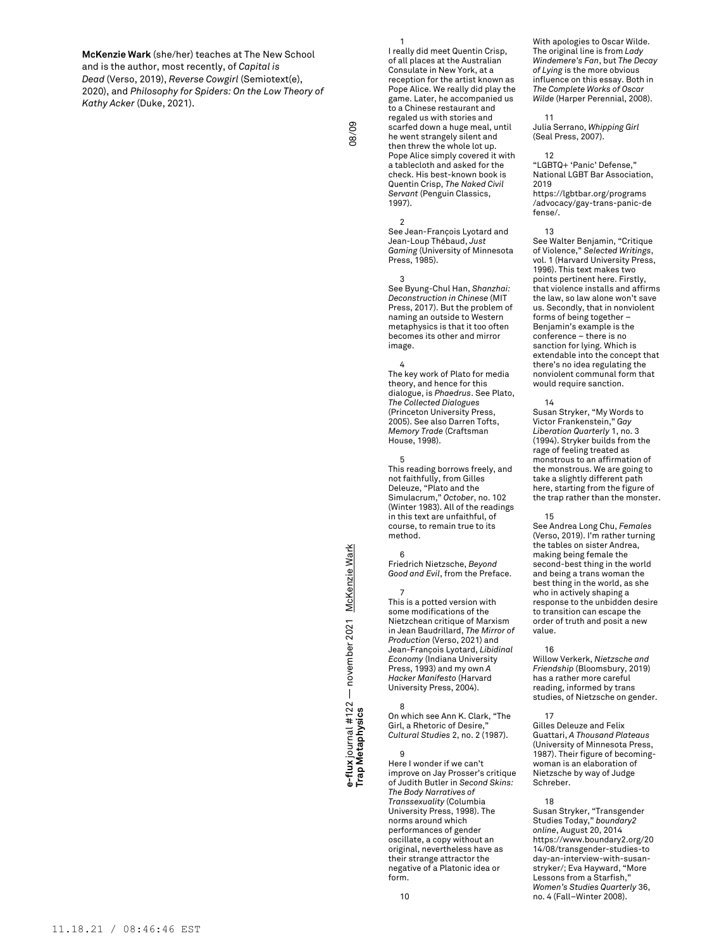**McKenzie Wark** (she/her) teaches at The New School and is the author, most recently, of *Capital is Dead* (Verso, 2019), *Reverse Cowgirl* (Semiotext(e), 2020), and *Philosophy for Spiders: On the Low Theory of Kathy Acker* (Duke, 2021).

1 I really did meet Quentin Crisp, of all places at the Australian Consulate in New York, at a reception for the artist known as Pope Alice. We really did play the game. Later, he accompanied us to a Chinese restaurant and regaled us with stories and scarfed down a huge meal, until he went strangely silent and then threw the whole lot up. Pope Alice simply covered it with a tablecloth and asked for the check. His best-known book is Quentin Crisp, *The Naked Civil Servant* (Penguin Classics, 1997).

2 See Jean-François Lyotard and Jean-Loup Thébaud, *Just Gaming* (University of Minnesota Press, 1985).

## 3

See Byung-Chul Han, *Shanzhai: Deconstruction in Chinese* (MIT Press, 2017). But the problem of naming an outside to Western metaphysics is that it too often becomes its other and mirror image.

### 4

The key work of Plato for media theory, and hence for this dialogue, is *Phaedrus*. See Plato, *The Collected Dialogues* (Princeton University Press, 2005). See also Darren Tofts, *Memory Trade* (Craftsman House, 1998).

#### 5

This reading borrows freely, and not faithfully, from Gilles Deleuze, "Plato and the Simulacrum," *October*, no. 102 (Winter 1983). All of the readings in this text are unfaithful, of course, to remain true to its method.

6 Friedrich Nietzsche, *Beyond Good and Evil*, from the Preface.

#### 7 This is a potted version with some modifications of the Nietzchean critique of Marxism in Jean Baudrillard, *The Mirror of Production* (Verso, 2021) and Jean-François Lyotard, *Libidinal Economy* (Indiana University Press, 1993) and my own *A Hacker Manifesto* (Harvard University Press, 2004).

**e-flux** journal #122 — november 2021 McKenzie Wark

e-flux journal #122 — november 2021 <u>McKenzie War</u>k<br>Tra**p Metaphysics** 

8 On which see Ann K. Clark, "The Girl, a Rhetoric of Desire," *Cultural Studies* 2, no. 2 (1987).

9 Here I wonder if we can't improve on Jay Prosser's critique of Judith Butler in *Second Skins: The Body Narratives of Transsexuality* (Columbia University Press, 1998). The norms around which performances of gender oscillate, a copy without an original, nevertheless have as their strange attractor the negative of a Platonic idea or form.

With apologies to Oscar Wilde. The original line is from *Lady Windemere's Fan*, but *The Decay of Lying* is the more obvious influence on this essay. Both in *The Complete Works of Oscar Wilde* (Harper Perennial, 2008).

#### 11

Julia Serrano, *Whipping Girl* (Seal Press, 2007).

12 "LGBTQ+ 'Panic' Defense," National LGBT Bar Association, 2019 https://lgbtbar.org/programs /advocacy/gay-trans-panic-de

## fense/. 13

See Walter Benjamin, "Critique of Violence," *Selected Writings*, vol. 1 (Harvard University Press, 1996). This text makes two points pertinent here. Firstly, that violence installs and affirms the law, so law alone won't save us. Secondly, that in nonviolent forms of being together Benjamin's example is the conference – there is no sanction for lying. Which is extendable into the concept that there's no idea regulating the nonviolent communal form that would require sanction.

#### 14

Susan Stryker, "My Words to Victor Frankenstein," *Gay Liberation Quarterly* 1, no. 3 (1994). Stryker builds from the rage of feeling treated as monstrous to an affirmation of the monstrous. We are going to take a slightly different path here, starting from the figure of the trap rather than the monster.

#### 15

See Andrea Long Chu, *Females* (Verso, 2019). I'm rather turning the tables on sister Andrea, making being female the second-best thing in the world and being a trans woman the best thing in the world, as she who in actively shaping a response to the unbidden desire to transition can escape the order of truth and posit a new value.

#### 16

Willow Verkerk, *Nietzsche and Friendship* (Bloomsbury, 2019) has a rather more careful reading, informed by trans studies, of Nietzsche on gender.

#### 17 Gilles Deleuze and Felix

Guattari, *A Thousand Plateaus* (University of Minnesota Press, 1987). Their figure of becomingwoman is an elaboration of Nietzsche by way of Judge Schreber.

### 18

Susan Stryker, "Transgender Studies Today," *boundary2 online*, August 20, 2014 https://www.boundary2.org/20 14/08/transgender-studies-to day-an-interview-with-susanstryker/; Eva Hayward, "More Lessons from a Starfish,' *Women's Studies Quarterly* 36, no. 4 (Fall–Winter 2008).

# 11.18.21 / 08:46:46 EST

10